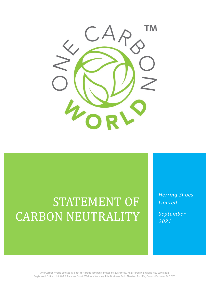

# STATEMENT OF CARBON NEUTRALITY

*Herring Shoes Limited*

*September 2021*

One Carbon World Limited is a not-for-profit company limited by guarantee. Registered in England No. 11948392 Registered Office: Unit 8 & 9 Parsons Court, Welbury Way, Aycliffe Business Park, Newton Aycliffe, County Durham, DL5 6ZE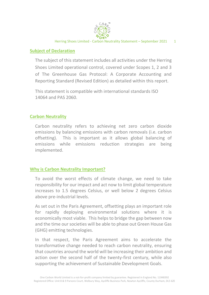

#### **Subject of Declaration**

The subject of this statement includes all activities under the Herring Shoes Limited operational control, covered under Scopes 1, 2 and 3 of The Greenhouse Gas Protocol: A Corporate Accounting and Reporting Standard (Revised Edition) as detailed within this report.

This statement is compatible with international standards ISO 14064 and PAS 2060.

#### **Carbon Neutrality**

Carbon neutrality refers to achieving net zero carbon dioxide emissions by balancing emissions with carbon removals (i.e. carbon offsetting). This is important as it allows global balancing of emissions while emissions reduction strategies are being implemented.

### **Why is Carbon Neutrality Important?**

To avoid the worst effects of climate change, we need to take responsibility for our impact and act now to limit global temperature increases to 1.5 degrees Celsius, or well below 2 degrees Celsius above pre-industrial levels.

As set out in the Paris Agreement, offsetting plays an important role for rapidly deploying environmental solutions where it is economically most viable. This helps to bridge the gap between now and the time our societies will be able to phase out Green House Gas (GHG) emitting technologies.

In that respect, the Paris Agreement aims to accelerate the transformative change needed to reach carbon neutrality, ensuring that countries around the world will be increasing their ambition and action over the second half of the twenty-first century, while also supporting the achievement of Sustainable Development Goals.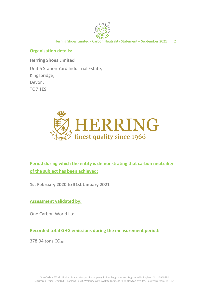

#### **Organisation details:**

**Herring Shoes Limited**

Unit 6 Station Yard Industrial Estate, Kingsbridge, Devon, TQ7 1ES



**Period during which the entity is demonstrating that carbon neutrality of the subject has been achieved:**

**1st February 2020 to 31st January 2021**

**Assessment validated by:**

One Carbon World Ltd.

**Recorded total GHG emissions during the measurement period:**

378.04 tons CO<sub>2e</sub>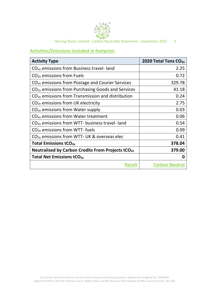

 $\leq$  CAR<sub>O</sub><sup>m</sup><br>  $\leq$  CAR<sub>O</sub><br>  $\leq$  C<sub>OR</sub><sub>L</sub>O<br>
Herring Shoes Limited - Carbon Neutrality Statement – September 2021 3

#### **Activities/Emissions included in footprint:**

| <b>Activity Type</b>                                          | 2020 Total Tons CO <sub>2e</sub> |
|---------------------------------------------------------------|----------------------------------|
| $CO2e$ emissions from Business travel-land                    | 2.25                             |
| $CO2e$ emissions from Fuels                                   | 0.72                             |
| $CO2e$ emissions from Postage and Courier Services            | 329.78                           |
| CO <sub>2e</sub> emissions from Purchasing Goods and Services | 41.18                            |
| $CO2e$ emissions from Transmission and distribution           | 0.24                             |
| $CO2e$ emissions from UK electricity                          | 2.75                             |
| $CO2e$ emissions from Water supply                            | 0.03                             |
| $CO2e$ emissions from Water treatment                         | 0.06                             |
| $CO2e$ emissions from WTT- business travel-land               | 0.54                             |
| $CO2e$ emissions from WTT- fuels                              | 0.09                             |
| $CO2e$ emissions from WTT- UK & overseas elec                 | 0.41                             |
| Total Emissions tCO <sub>2e</sub>                             | 378.04                           |
| Neutralised by Carbon Credits From Projects tCO <sub>2e</sub> | 379.00                           |
| <b>Total Net Emissions tCO<sub>2e</sub></b>                   | 0                                |
| <b>Result</b>                                                 | <b>Carbon Neutral</b>            |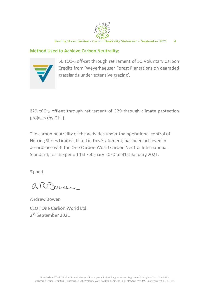

Herring Shoes Limited - Carbon Neutrality Statement – September 2021 4

#### **Method Used to Achieve Carbon Neutrality:**



50 tCO2e off-set through retirement of 50 Voluntary Carbon Credits from 'Weyerhaeuser Forest Plantations on degraded grasslands under extensive grazing'.

329 tCO<sub>2e</sub> off-set through retirement of 329 through climate protection projects (by DHL).

The carbon neutrality of the activities under the operational control of Herring Shoes Limited, listed in this Statement, has been achieved in accordance with the One Carbon World Carbon Neutral International Standard, for the period 1st February 2020 to 31st January 2021.

Signed:

arizone

Andrew Bowen CEO I One Carbon World Ltd. 2<sup>nd</sup> September 2021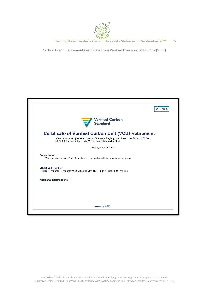

Herring Shoes Limited - Carbon Neutrality Statement – September 2021 5

Carbon Credit Retirement Certificate from Verified Emission Reductions (VERs)

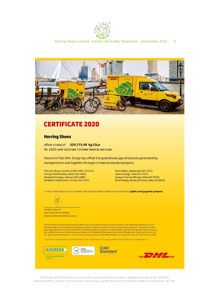



## **CERTIFICATE 2020**

#### **Herring Shoes**

offset a total of 329,775.98 kg CO<sub>2</sub>e for 2020 with GoGreen Climate Neutral services.

Deutsche Post DHL Group has offset the greenhouse gas emissions generated by transportation and logistics through climate protection projects:

Efficient stoves, Lesotho (CDM 5482, GS 913) Energy from biomass, Brazil (GS 1042) Household biogas, Vietnam (GS 1083) Borehole rehabilitation, Eritrea (GS 1247)

Waterfilters, Guatemala (GS 1321) Hydro energy, Laos (GS 2707) Energy from landfill gas, Chile (GS 3976) Wind energy, Aruba (GS 816), India (GS 4603)

Further information on the GoGreen climate protection projects can be found at: dpdhl.com/gogreen-projects

Michiel Greeven **Executive Vice President Sales Express Global & Europe** 

This certificate is issued by Deutsche Post DHL Group. The greenhouse gas emissions stated on this certificate (reported as  $CO_2e^*$ ) include emissions from transport and logistics as well as upstream emissions from fuel the "Greenhouse Gas Protocol - Product Life Cycle Accounting and Reporting Standard" for the period of 01.01.2020 to 31.12.2020.

\* CO2e: The CO2 equivalents for our emissions offset include carbon dioxide (CO2) as well as further GHG emissions such as methane (CH4)









One Carbon World Limited is a not-for-profit company limited by guarantee. Registered in England No. 11948392 Registered Office: Unit 8 & 9 Parsons Court, Welbury Way, Aycliffe Business Park, Newton Aycliffe, County Durham, DL5 6ZE